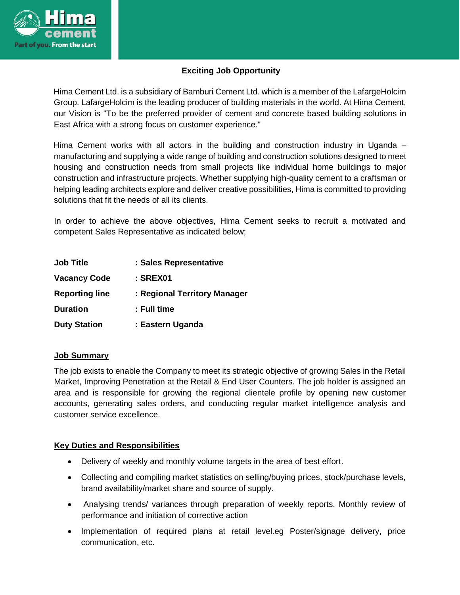

# **Exciting Job Opportunity**

Hima Cement Ltd. is a subsidiary of Bamburi Cement Ltd. which is a member of the LafargeHolcim Group. LafargeHolcim is the leading producer of building materials in the world. At Hima Cement, our Vision is "To be the preferred provider of cement and concrete based building solutions in East Africa with a strong focus on customer experience."

Hima Cement works with all actors in the building and construction industry in Uganda – manufacturing and supplying a wide range of building and construction solutions designed to meet housing and construction needs from small projects like individual home buildings to major construction and infrastructure projects. Whether supplying high-quality cement to a craftsman or helping leading architects explore and deliver creative possibilities, Hima is committed to providing solutions that fit the needs of all its clients.

In order to achieve the above objectives, Hima Cement seeks to recruit a motivated and competent Sales Representative as indicated below;

| <b>Job Title</b>      | : Sales Representative       |
|-----------------------|------------------------------|
| <b>Vacancy Code</b>   | : SREX01                     |
| <b>Reporting line</b> | : Regional Territory Manager |
| <b>Duration</b>       | : Full time                  |
| <b>Duty Station</b>   | : Eastern Uganda             |

### **Job Summary**

The job exists to enable the Company to meet its strategic objective of growing Sales in the Retail Market, Improving Penetration at the Retail & End User Counters. The job holder is assigned an area and is responsible for growing the regional clientele profile by opening new customer accounts, generating sales orders, and conducting regular market intelligence analysis and customer service excellence.

### **Key Duties and Responsibilities**

- Delivery of weekly and monthly volume targets in the area of best effort.
- Collecting and compiling market statistics on selling/buying prices, stock/purchase levels, brand availability/market share and source of supply.
- Analysing trends/ variances through preparation of weekly reports. Monthly review of performance and initiation of corrective action
- Implementation of required plans at retail level.eg Poster/signage delivery, price communication, etc.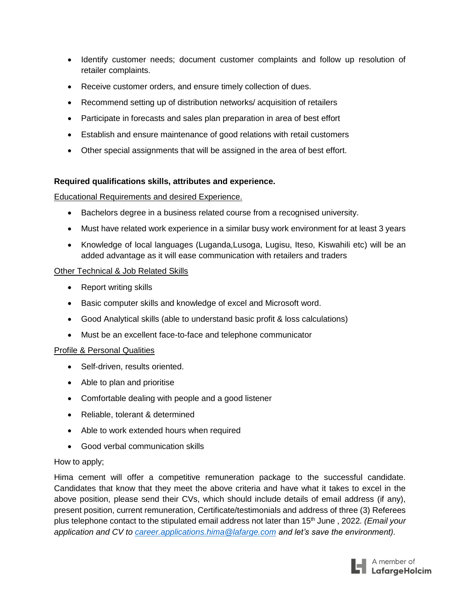- Identify customer needs; document customer complaints and follow up resolution of retailer complaints.
- Receive customer orders, and ensure timely collection of dues.
- Recommend setting up of distribution networks/ acquisition of retailers
- Participate in forecasts and sales plan preparation in area of best effort
- Establish and ensure maintenance of good relations with retail customers
- Other special assignments that will be assigned in the area of best effort.

## **Required qualifications skills, attributes and experience.**

### Educational Requirements and desired Experience.

- Bachelors degree in a business related course from a recognised university.
- Must have related work experience in a similar busy work environment for at least 3 years
- Knowledge of local languages (Luganda,Lusoga, Lugisu, Iteso, Kiswahili etc) will be an added advantage as it will ease communication with retailers and traders

## Other Technical & Job Related Skills

- Report writing skills
- Basic computer skills and knowledge of excel and Microsoft word.
- Good Analytical skills (able to understand basic profit & loss calculations)
- Must be an excellent face-to-face and telephone communicator

## **Profile & Personal Qualities**

- Self-driven, results oriented.
- Able to plan and prioritise
- Comfortable dealing with people and a good listener
- Reliable, tolerant & determined
- Able to work extended hours when required
- Good verbal communication skills

## How to apply;

Hima cement will offer a competitive remuneration package to the successful candidate. Candidates that know that they meet the above criteria and have what it takes to excel in the above position, please send their CVs, which should include details of email address (if any), present position, current remuneration, Certificate/testimonials and address of three (3) Referees plus telephone contact to the stipulated email address not later than 15th June , 2022*. (Email your application and CV to [career.applications.hima@lafarge.com](mailto:career.applications.hima@lafarge.com) and let's save the environment).*